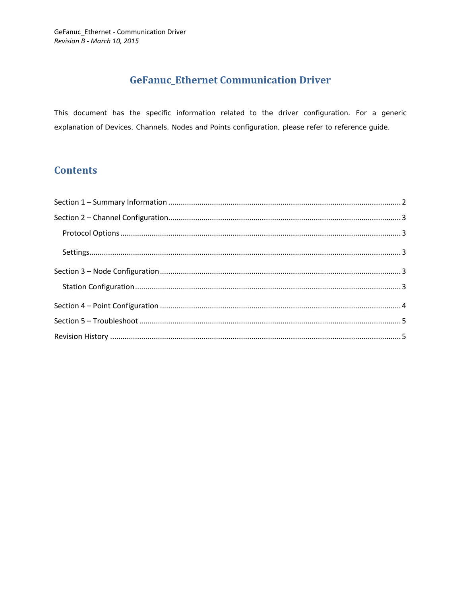# **GeFanuc\_Ethernet Communication Driver**

This document has the specific information related to the driver configuration. For a generic explanation of Devices, Channels, Nodes and Points configuration, please refer to reference guide.

## **Contents**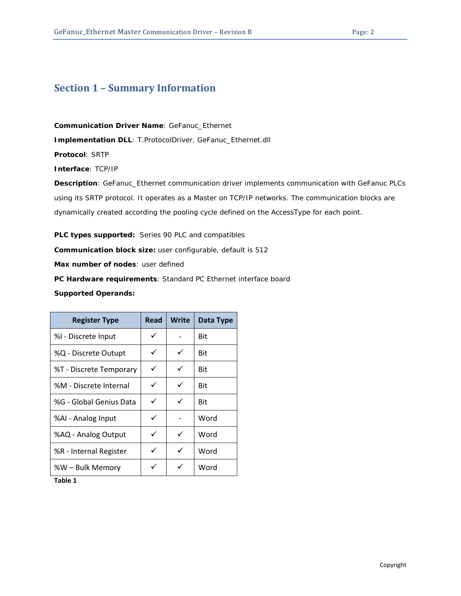## <span id="page-1-0"></span>**Section 1 – Summary Information**

**Communication Driver Name**: GeFanuc\_Ethernet

**Implementation DLL**: T.ProtocolDriver. GeFanuc\_Ethernet.dll

**Protocol**: SRTP

**Interface**: TCP/IP

**Description**: GeFanuc\_Ethernet communication driver implements communication with GeFanuc PLCs using its SRTP protocol. It operates as a Master on TCP/IP networks. The communication blocks are dynamically created according the pooling cycle defined on the AccessType for each point.

**PLC types supported:** Series 90 PLC and compatibles **Communication block size:** user configurable, default is 512 **Max number of nodes**: user defined **PC Hardware requirements**: Standard PC Ethernet interface board **Supported Operands:**

| <b>Register Type</b>    | Read | Write | Data Type |
|-------------------------|------|-------|-----------|
| %I - Discrete Input     | ✓    |       | Bit       |
| %Q - Discrete Outupt    | ✓    | ✓     | Bit       |
| %T - Discrete Temporary | ✓    | ✓     | Bit       |
| %M - Discrete Internal  | ✓    | ✓     | Bit       |
| %G - Global Genius Data | ✓    | ✓     | Bit       |
| %AI - Analog Input      | ✓    |       | Word      |
| %AQ - Analog Output     | ✓    | ✓     | Word      |
| %R - Internal Register  | ✓    | ✓     | Word      |
| %W – Bulk Memory        |      | ✓     | Word      |

**Table 1**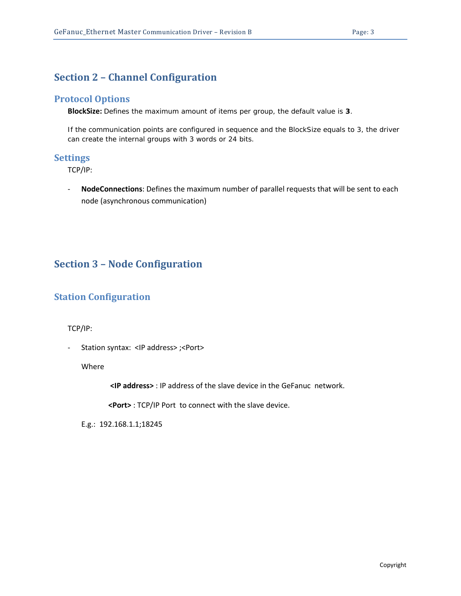### <span id="page-2-0"></span>**Section 2 – Channel Configuration**

#### <span id="page-2-1"></span>**Protocol Options**

**BlockSize:** Defines the maximum amount of items per group, the default value is **3**.

If the communication points are configured in sequence and the BlockSize equals to 3, the driver can create the internal groups with 3 words or 24 bits.

#### <span id="page-2-2"></span>**Settings**

TCP/IP:

- **NodeConnections**: Defines the maximum number of parallel requests that will be sent to each node (asynchronous communication)

### <span id="page-2-3"></span>**Section 3 – Node Configuration**

### <span id="page-2-4"></span>**Station Configuration**

TCP/IP:

- Station syntax: <IP address> ;<Port>

Where

**<IP address>** : IP address of the slave device in the GeFanuc network.

**<Port>** : TCP/IP Port to connect with the slave device.

E.g.: 192.168.1.1;18245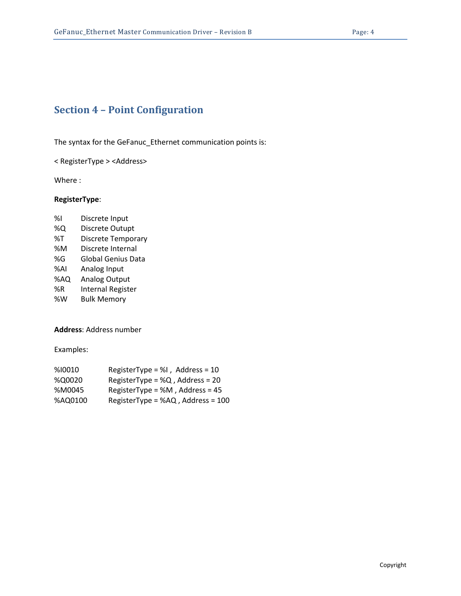# <span id="page-3-0"></span>**Section 4 – Point Configuration**

The syntax for the GeFanuc\_Ethernet communication points is:

< RegisterType > <Address>

Where :

#### **RegisterType**:

%I Discrete Input %Q Discrete Outupt %T Discrete Temporary %M Discrete Internal %G Global Genius Data %AI Analog Input %AQ Analog Output %R Internal Register %W Bulk Memory

**Address**: Address number

Examples:

| %10010  | RegisterType = %I, Address = $10$  |
|---------|------------------------------------|
| %Q0020  | RegisterType = $%Q$ , Address = 20 |
| %M0045  | RegisterType = $%M$ , Address = 45 |
| %AQ0100 | RegisterType = %AQ, Address = 100  |